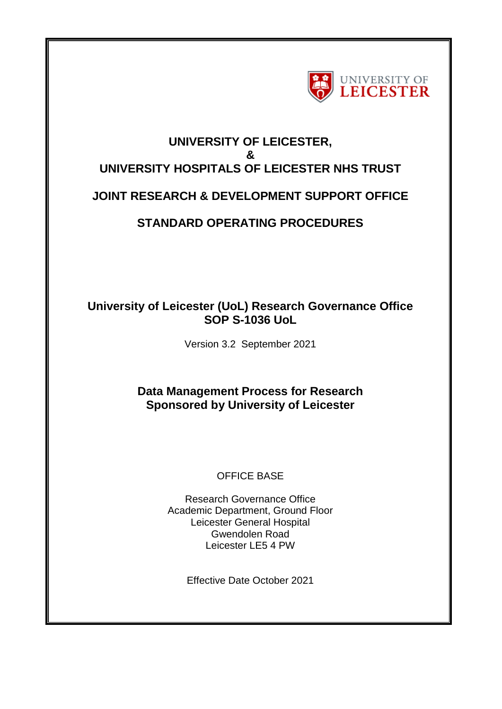

# **UNIVERSITY OF LEICESTER, & UNIVERSITY HOSPITALS OF LEICESTER NHS TRUST**

# **JOINT RESEARCH & DEVELOPMENT SUPPORT OFFICE**

# **STANDARD OPERATING PROCEDURES**

## **University of Leicester (UoL) Research Governance Office SOP S-1036 UoL**

Version 3.2 September 2021

# **Data Management Process for Research Sponsored by University of Leicester**

## OFFICE BASE

Research Governance Office Academic Department, Ground Floor Leicester General Hospital Gwendolen Road Leicester LE5 4 PW

Effective Date October 2021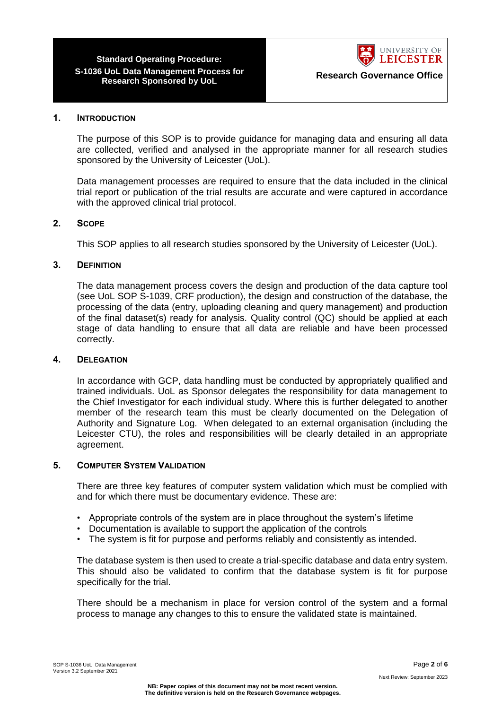

#### **1. INTRODUCTION**

The purpose of this SOP is to provide guidance for managing data and ensuring all data are collected, verified and analysed in the appropriate manner for all research studies sponsored by the University of Leicester (UoL).

Data management processes are required to ensure that the data included in the clinical trial report or publication of the trial results are accurate and were captured in accordance with the approved clinical trial protocol.

### **2. SCOPE**

This SOP applies to all research studies sponsored by the University of Leicester (UoL).

#### **3. DEFINITION**

The data management process covers the design and production of the data capture tool (see UoL SOP S-1039, CRF production), the design and construction of the database, the processing of the data (entry, uploading cleaning and query management) and production of the final dataset(s) ready for analysis. Quality control (QC) should be applied at each stage of data handling to ensure that all data are reliable and have been processed correctly.

#### **4. DELEGATION**

In accordance with GCP, data handling must be conducted by appropriately qualified and trained individuals. UoL as Sponsor delegates the responsibility for data management to the Chief Investigator for each individual study. Where this is further delegated to another member of the research team this must be clearly documented on the Delegation of Authority and Signature Log. When delegated to an external organisation (including the Leicester CTU), the roles and responsibilities will be clearly detailed in an appropriate agreement.

#### **5. COMPUTER SYSTEM VALIDATION**

There are three key features of computer system validation which must be complied with and for which there must be documentary evidence. These are:

- Appropriate controls of the system are in place throughout the system's lifetime
- Documentation is available to support the application of the controls
- The system is fit for purpose and performs reliably and consistently as intended.

The database system is then used to create a trial-specific database and data entry system. This should also be validated to confirm that the database system is fit for purpose specifically for the trial.

There should be a mechanism in place for version control of the system and a formal process to manage any changes to this to ensure the validated state is maintained.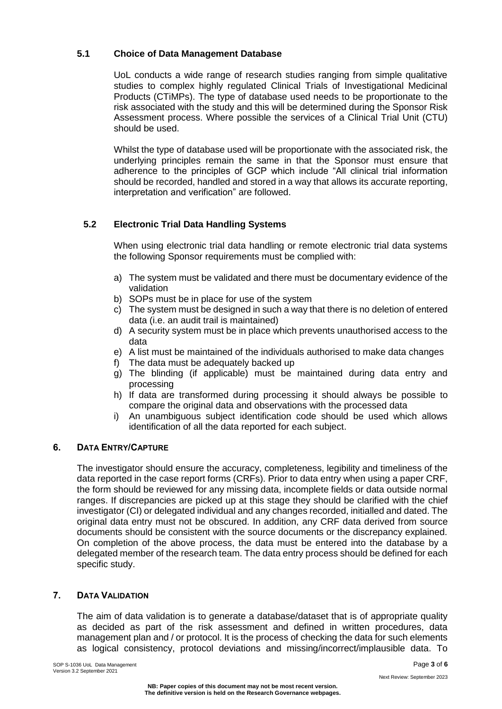### **5.1 Choice of Data Management Database**

UoL conducts a wide range of research studies ranging from simple qualitative studies to complex highly regulated Clinical Trials of Investigational Medicinal Products (CTiMPs). The type of database used needs to be proportionate to the risk associated with the study and this will be determined during the Sponsor Risk Assessment process. Where possible the services of a Clinical Trial Unit (CTU) should be used.

Whilst the type of database used will be proportionate with the associated risk, the underlying principles remain the same in that the Sponsor must ensure that adherence to the principles of GCP which include "All clinical trial information should be recorded, handled and stored in a way that allows its accurate reporting, interpretation and verification" are followed.

## **5.2 Electronic Trial Data Handling Systems**

When using electronic trial data handling or remote electronic trial data systems the following Sponsor requirements must be complied with:

- a) The system must be validated and there must be documentary evidence of the validation
- b) SOPs must be in place for use of the system
- c) The system must be designed in such a way that there is no deletion of entered data (i.e. an audit trail is maintained)
- d) A security system must be in place which prevents unauthorised access to the data
- e) A list must be maintained of the individuals authorised to make data changes
- f) The data must be adequately backed up
- g) The blinding (if applicable) must be maintained during data entry and processing
- h) If data are transformed during processing it should always be possible to compare the original data and observations with the processed data
- i) An unambiguous subject identification code should be used which allows identification of all the data reported for each subject.

## **6. DATA ENTRY/CAPTURE**

The investigator should ensure the accuracy, completeness, legibility and timeliness of the data reported in the case report forms (CRFs). Prior to data entry when using a paper CRF, the form should be reviewed for any missing data, incomplete fields or data outside normal ranges. If discrepancies are picked up at this stage they should be clarified with the chief investigator (CI) or delegated individual and any changes recorded, initialled and dated. The original data entry must not be obscured. In addition, any CRF data derived from source documents should be consistent with the source documents or the discrepancy explained. On completion of the above process, the data must be entered into the database by a delegated member of the research team. The data entry process should be defined for each specific study.

### **7. DATA VALIDATION**

The aim of data validation is to generate a database/dataset that is of appropriate quality as decided as part of the risk assessment and defined in written procedures, data management plan and / or protocol. It is the process of checking the data for such elements as logical consistency, protocol deviations and missing/incorrect/implausible data. To

SOP S-1036 UoL Data Management **Page 3** of 6 Version 3.2 September 2021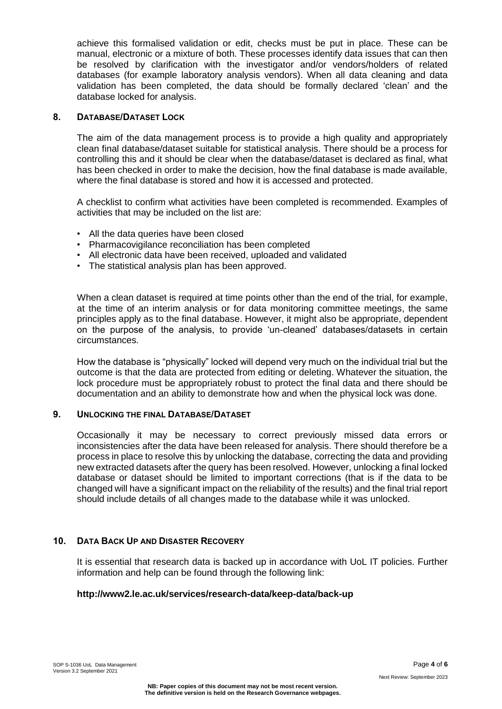achieve this formalised validation or edit, checks must be put in place. These can be manual, electronic or a mixture of both. These processes identify data issues that can then be resolved by clarification with the investigator and/or vendors/holders of related databases (for example laboratory analysis vendors). When all data cleaning and data validation has been completed, the data should be formally declared 'clean' and the database locked for analysis.

### **8. DATABASE/DATASET LOCK**

The aim of the data management process is to provide a high quality and appropriately clean final database/dataset suitable for statistical analysis. There should be a process for controlling this and it should be clear when the database/dataset is declared as final, what has been checked in order to make the decision, how the final database is made available, where the final database is stored and how it is accessed and protected.

A checklist to confirm what activities have been completed is recommended. Examples of activities that may be included on the list are:

- All the data queries have been closed
- Pharmacovigilance reconciliation has been completed
- All electronic data have been received, uploaded and validated
- The statistical analysis plan has been approved.

When a clean dataset is required at time points other than the end of the trial, for example, at the time of an interim analysis or for data monitoring committee meetings, the same principles apply as to the final database. However, it might also be appropriate, dependent on the purpose of the analysis, to provide 'un-cleaned' databases/datasets in certain circumstances.

How the database is "physically" locked will depend very much on the individual trial but the outcome is that the data are protected from editing or deleting. Whatever the situation, the lock procedure must be appropriately robust to protect the final data and there should be documentation and an ability to demonstrate how and when the physical lock was done.

### **9. UNLOCKING THE FINAL DATABASE/DATASET**

Occasionally it may be necessary to correct previously missed data errors or inconsistencies after the data have been released for analysis. There should therefore be a process in place to resolve this by unlocking the database, correcting the data and providing new extracted datasets after the query has been resolved. However, unlocking a final locked database or dataset should be limited to important corrections (that is if the data to be changed will have a significant impact on the reliability of the results) and the final trial report should include details of all changes made to the database while it was unlocked.

### **10. DATA BACK UP AND DISASTER RECOVERY**

It is essential that research data is backed up in accordance with UoL IT policies. Further information and help can be found through the following link:

### **http://www2.le.ac.uk/services/research-data/keep-data/back-up**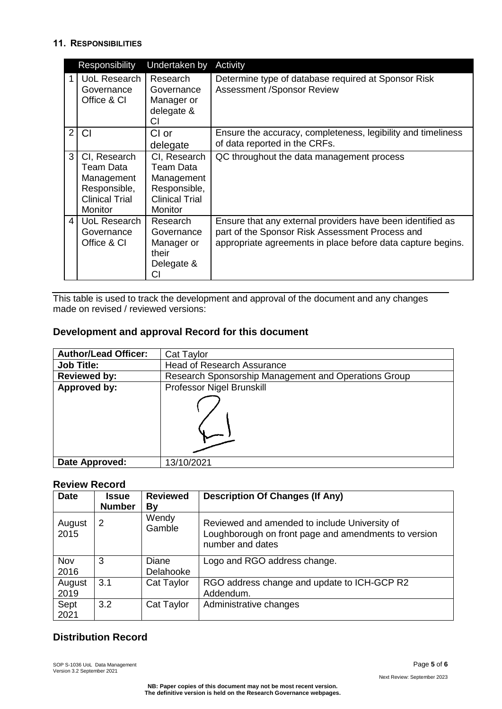## **11. RESPONSIBILITIES**

|                | Responsibility                                                                              | Undertaken by                                                                               | Activity                                                                                                                                                                     |
|----------------|---------------------------------------------------------------------------------------------|---------------------------------------------------------------------------------------------|------------------------------------------------------------------------------------------------------------------------------------------------------------------------------|
|                | UoL Research<br>Governance<br>Office & CI                                                   | Research<br>Governance<br>Manager or<br>delegate &<br>CI                                    | Determine type of database required at Sponsor Risk<br><b>Assessment /Sponsor Review</b>                                                                                     |
| $\overline{2}$ | CI                                                                                          | CI or<br>delegate                                                                           | Ensure the accuracy, completeness, legibility and timeliness<br>of data reported in the CRFs.                                                                                |
| 3              | CI, Research<br>Team Data<br>Management<br>Responsible,<br><b>Clinical Trial</b><br>Monitor | CI, Research<br>Team Data<br>Management<br>Responsible,<br><b>Clinical Trial</b><br>Monitor | QC throughout the data management process                                                                                                                                    |
| 4              | UoL Research<br>Governance<br>Office & CI                                                   | Research<br>Governance<br>Manager or<br>their<br>Delegate &<br>CI                           | Ensure that any external providers have been identified as<br>part of the Sponsor Risk Assessment Process and<br>appropriate agreements in place before data capture begins. |

This table is used to track the development and approval of the document and any changes made on revised / reviewed versions:

## **Development and approval Record for this document**

| <b>Author/Lead Officer:</b> | Cat Taylor                                           |  |
|-----------------------------|------------------------------------------------------|--|
| <b>Job Title:</b>           | <b>Head of Research Assurance</b>                    |  |
| <b>Reviewed by:</b>         | Research Sponsorship Management and Operations Group |  |
| Approved by:                | Professor Nigel Brunskill                            |  |
|                             |                                                      |  |
| Date Approved:              | 13/10/2021                                           |  |

## **Review Record**

| <b>Date</b>    | <b>Issue</b><br><b>Number</b> | <b>Reviewed</b><br>By | <b>Description Of Changes (If Any)</b>                                                                                    |
|----------------|-------------------------------|-----------------------|---------------------------------------------------------------------------------------------------------------------------|
| August<br>2015 | 2                             | Wendy<br>Gamble       | Reviewed and amended to include University of<br>Loughborough on front page and amendments to version<br>number and dates |
| Nov<br>2016    | 3                             | Diane<br>Delahooke    | Logo and RGO address change.                                                                                              |
|                |                               |                       |                                                                                                                           |
| August         | 3.1                           | Cat Taylor            | RGO address change and update to ICH-GCP R2                                                                               |
| 2019           |                               |                       | Addendum.                                                                                                                 |
| Sept<br>2021   | 3.2                           | Cat Taylor            | Administrative changes                                                                                                    |

## **Distribution Record**

SOP S-1036 UoL Data Management **Page 5** of **6** Version 3.2 September 2021